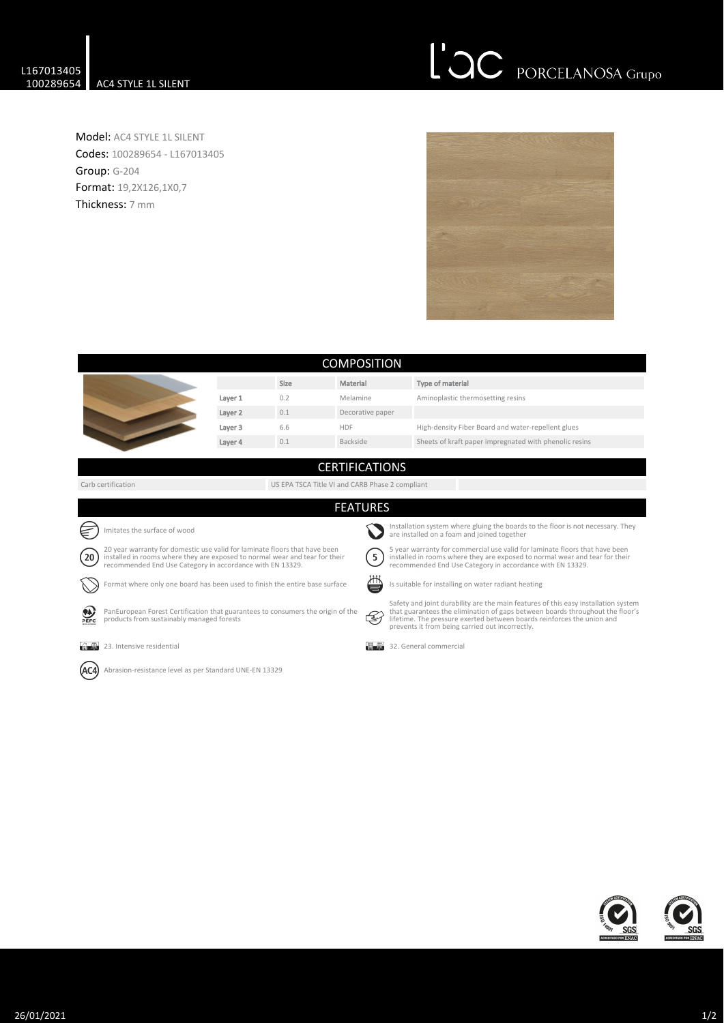## L'OC PORCELANOSA Grupo

Model: AC4 STYLE 1L SILENT Codes: 100289654 - L167013405 Group: G-204 Format: 19,2X126,1X0,7 Thickness: 7 mm



| <b>COMPOSITION</b>                                                                                                                                                                                                                     |                                                                             |                                                 |                       |                                                                                                                                                                                                                                                                                                  |  |  |  |
|----------------------------------------------------------------------------------------------------------------------------------------------------------------------------------------------------------------------------------------|-----------------------------------------------------------------------------|-------------------------------------------------|-----------------------|--------------------------------------------------------------------------------------------------------------------------------------------------------------------------------------------------------------------------------------------------------------------------------------------------|--|--|--|
|                                                                                                                                                                                                                                        |                                                                             | Size                                            | Material              | Type of material                                                                                                                                                                                                                                                                                 |  |  |  |
|                                                                                                                                                                                                                                        | Layer 1                                                                     | 0.2                                             | Melamine              | Aminoplastic thermosetting resins                                                                                                                                                                                                                                                                |  |  |  |
|                                                                                                                                                                                                                                        | Layer 2                                                                     | 0.1                                             | Decorative paper      |                                                                                                                                                                                                                                                                                                  |  |  |  |
|                                                                                                                                                                                                                                        | Layer 3                                                                     | 6.6                                             | <b>HDF</b>            | High-density Fiber Board and water-repellent glues                                                                                                                                                                                                                                               |  |  |  |
|                                                                                                                                                                                                                                        | Layer 4                                                                     | 0.1                                             | Backside              | Sheets of kraft paper impregnated with phenolic resins                                                                                                                                                                                                                                           |  |  |  |
|                                                                                                                                                                                                                                        |                                                                             |                                                 |                       |                                                                                                                                                                                                                                                                                                  |  |  |  |
|                                                                                                                                                                                                                                        |                                                                             |                                                 | <b>CERTIFICATIONS</b> |                                                                                                                                                                                                                                                                                                  |  |  |  |
| Carb certification                                                                                                                                                                                                                     |                                                                             | US EPA TSCA Title VI and CARB Phase 2 compliant |                       |                                                                                                                                                                                                                                                                                                  |  |  |  |
|                                                                                                                                                                                                                                        |                                                                             |                                                 | <b>FEATURES</b>       |                                                                                                                                                                                                                                                                                                  |  |  |  |
|                                                                                                                                                                                                                                        |                                                                             |                                                 |                       |                                                                                                                                                                                                                                                                                                  |  |  |  |
| Imitates the surface of wood                                                                                                                                                                                                           |                                                                             |                                                 |                       | Installation system where gluing the boards to the floor is not necessary. They<br>are installed on a foam and joined together                                                                                                                                                                   |  |  |  |
| 20 year warranty for domestic use valid for laminate floors that have been<br>$20^{\circ}$<br>installed in rooms where they are exposed to normal wear and tear for their<br>recommended End Use Category in accordance with EN 13329. |                                                                             |                                                 | 5                     | 5 year warranty for commercial use valid for laminate floors that have been<br>installed in rooms where they are exposed to normal wear and tear for their<br>recommended End Use Category in accordance with EN 13329.                                                                          |  |  |  |
|                                                                                                                                                                                                                                        | Format where only one board has been used to finish the entire base surface |                                                 |                       | ∕∟<br>Is suitable for installing on water radiant heating                                                                                                                                                                                                                                        |  |  |  |
| PanEuropean Forest Certification that guarantees to consumers the origin of the<br>products from sustainably managed forests<br>PEFC                                                                                                   |                                                                             |                                                 | -47                   | Safety and joint durability are the main features of this easy installation system<br>that guarantees the elimination of gaps between boards throughout the floor's<br>lifetime. The pressure exerted between boards reinforces the union and<br>prevents it from being carried out incorrectly. |  |  |  |
| 23. Intensive residential<br><b>Property</b>                                                                                                                                                                                           |                                                                             |                                                 |                       | 32. General commercial                                                                                                                                                                                                                                                                           |  |  |  |
| Abrasion-resistance level as per Standard UNE-EN 13329                                                                                                                                                                                 |                                                                             |                                                 |                       |                                                                                                                                                                                                                                                                                                  |  |  |  |
|                                                                                                                                                                                                                                        |                                                                             |                                                 |                       |                                                                                                                                                                                                                                                                                                  |  |  |  |